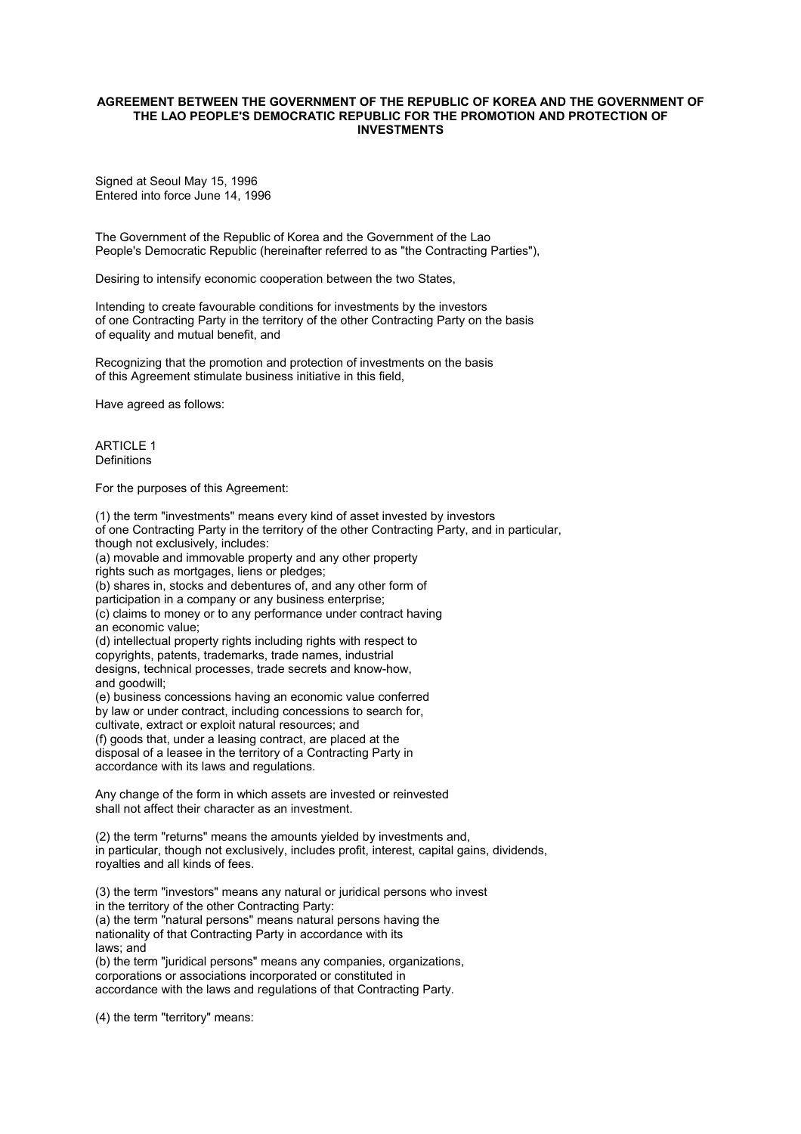## **AGREEMENT BETWEEN THE GOVERNMENT OF THE REPUBLIC OF KOREA AND THE GOVERNMENT OF THE LAO PEOPLE'S DEMOCRATIC REPUBLIC FOR THE PROMOTION AND PROTECTION OF INVESTMENTS**

Signed at Seoul May 15, 1996 Entered into force June 14, 1996

The Government of the Republic of Korea and the Government of the Lao People's Democratic Republic (hereinafter referred to as "the Contracting Parties"),

Desiring to intensify economic cooperation between the two States,

Intending to create favourable conditions for investments by the investors of one Contracting Party in the territory of the other Contracting Party on the basis of equality and mutual benefit, and

Recognizing that the promotion and protection of investments on the basis of this Agreement stimulate business initiative in this field,

Have agreed as follows:

ARTICLE 1 Definitions

For the purposes of this Agreement:

(1) the term "investments" means every kind of asset invested by investors of one Contracting Party in the territory of the other Contracting Party, and in particular, though not exclusively, includes: (a) movable and immovable property and any other property rights such as mortgages, liens or pledges; (b) shares in, stocks and debentures of, and any other form of participation in a company or any business enterprise; (c) claims to money or to any performance under contract having an economic value; (d) intellectual property rights including rights with respect to copyrights, patents, trademarks, trade names, industrial designs, technical processes, trade secrets and know-how, and goodwill; (e) business concessions having an economic value conferred by law or under contract, including concessions to search for, cultivate, extract or exploit natural resources; and (f) goods that, under a leasing contract, are placed at the disposal of a leasee in the territory of a Contracting Party in accordance with its laws and regulations. Any change of the form in which assets are invested or reinvested shall not affect their character as an investment.

(2) the term "returns" means the amounts yielded by investments and, in particular, though not exclusively, includes profit, interest, capital gains, dividends, royalties and all kinds of fees.

(3) the term "investors" means any natural or juridical persons who invest in the territory of the other Contracting Party: (a) the term "natural persons" means natural persons having the nationality of that Contracting Party in accordance with its laws; and (b) the term "juridical persons" means any companies, organizations, corporations or associations incorporated or constituted in

accordance with the laws and regulations of that Contracting Party.

(4) the term "territory" means: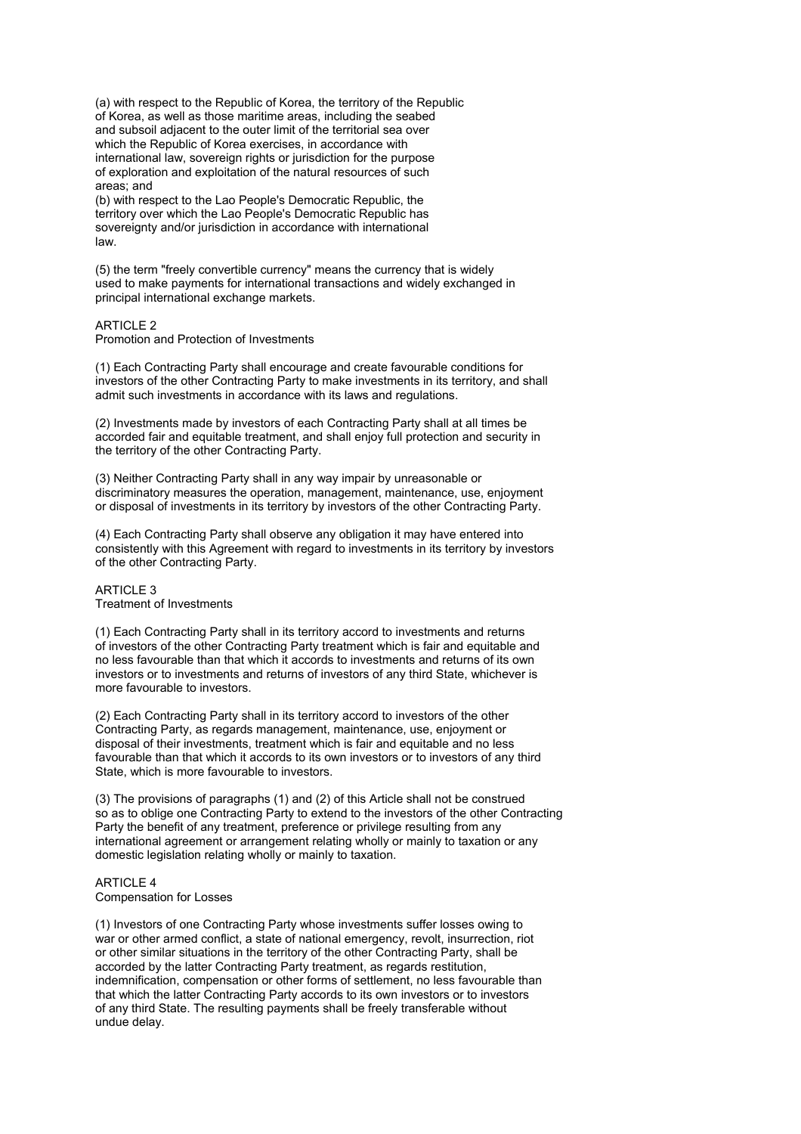(a) with respect to the Republic of Korea, the territory of the Republic of Korea, as well as those maritime areas, including the seabed and subsoil adjacent to the outer limit of the territorial sea over which the Republic of Korea exercises, in accordance with international law, sovereign rights or jurisdiction for the purpose of exploration and exploitation of the natural resources of such areas; and

(b) with respect to the Lao People's Democratic Republic, the territory over which the Lao People's Democratic Republic has sovereignty and/or jurisdiction in accordance with international law.

(5) the term "freely convertible currency" means the currency that is widely used to make payments for international transactions and widely exchanged in principal international exchange markets.

## **ARTICLE 2**

Promotion and Protection of Investments

(1) Each Contracting Party shall encourage and create favourable conditions for investors of the other Contracting Party to make investments in its territory, and shall admit such investments in accordance with its laws and regulations.

(2) Investments made by investors of each Contracting Party shall at all times be accorded fair and equitable treatment, and shall enjoy full protection and security in the territory of the other Contracting Party.

(3) Neither Contracting Party shall in any way impair by unreasonable or discriminatory measures the operation, management, maintenance, use, enjoyment or disposal of investments in its territory by investors of the other Contracting Party.

(4) Each Contracting Party shall observe any obligation it may have entered into consistently with this Agreement with regard to investments in its territory by investors of the other Contracting Party.

## ARTICLE 3 Treatment of Investments

(1) Each Contracting Party shall in its territory accord to investments and returns of investors of the other Contracting Party treatment which is fair and equitable and no less favourable than that which it accords to investments and returns of its own investors or to investments and returns of investors of any third State, whichever is more favourable to investors.

(2) Each Contracting Party shall in its territory accord to investors of the other Contracting Party, as regards management, maintenance, use, enjoyment or disposal of their investments, treatment which is fair and equitable and no less favourable than that which it accords to its own investors or to investors of any third State, which is more favourable to investors.

(3) The provisions of paragraphs (1) and (2) of this Article shall not be construed so as to oblige one Contracting Party to extend to the investors of the other Contracting Party the benefit of any treatment, preference or privilege resulting from any international agreement or arrangement relating wholly or mainly to taxation or any domestic legislation relating wholly or mainly to taxation.

## ARTICLE 4 Compensation for Losses

(1) Investors of one Contracting Party whose investments suffer losses owing to war or other armed conflict, a state of national emergency, revolt, insurrection, riot or other similar situations in the territory of the other Contracting Party, shall be accorded by the latter Contracting Party treatment, as regards restitution, indemnification, compensation or other forms of settlement, no less favourable than that which the latter Contracting Party accords to its own investors or to investors of any third State. The resulting payments shall be freely transferable without undue delay.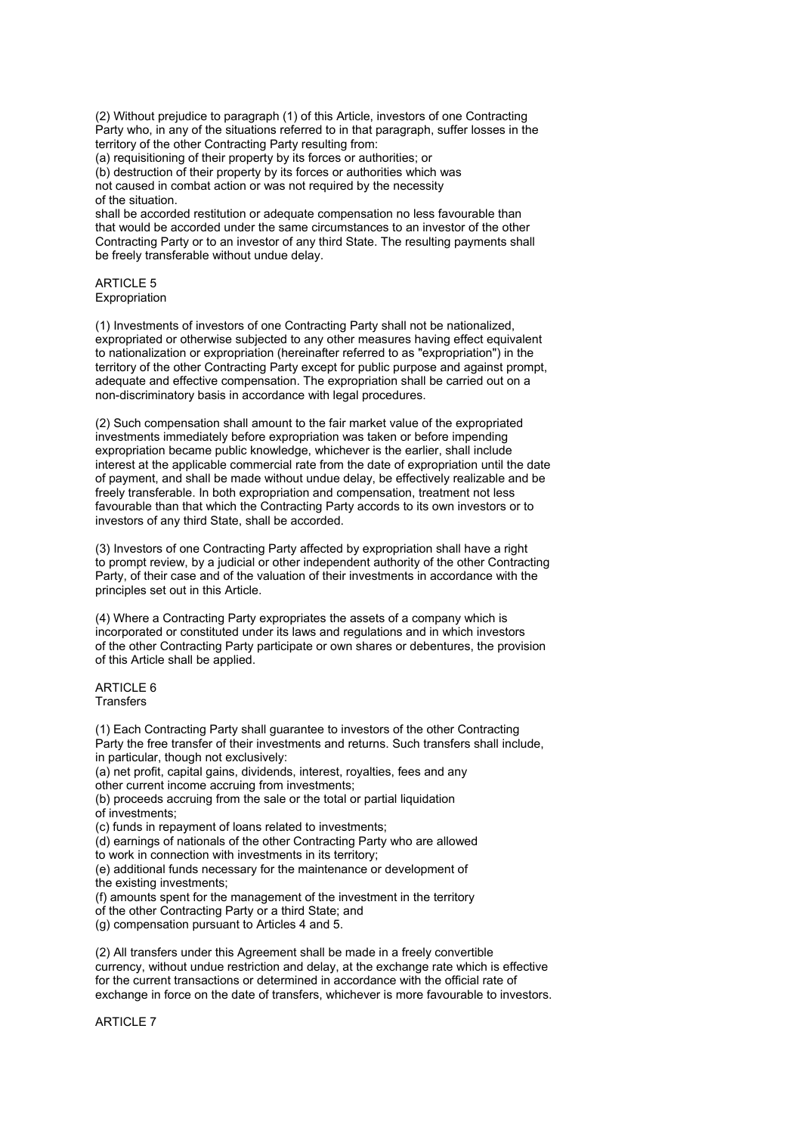(2) Without prejudice to paragraph (1) of this Article, investors of one Contracting Party who, in any of the situations referred to in that paragraph, suffer losses in the territory of the other Contracting Party resulting from:

(a) requisitioning of their property by its forces or authorities; or

(b) destruction of their property by its forces or authorities which was not caused in combat action or was not required by the necessity of the situation.

shall be accorded restitution or adequate compensation no less favourable than that would be accorded under the same circumstances to an investor of the other Contracting Party or to an investor of any third State. The resulting payments shall be freely transferable without undue delay.

ARTICLE 5 **Expropriation** 

(1) Investments of investors of one Contracting Party shall not be nationalized, expropriated or otherwise subjected to any other measures having effect equivalent to nationalization or expropriation (hereinafter referred to as "expropriation") in the territory of the other Contracting Party except for public purpose and against prompt, adequate and effective compensation. The expropriation shall be carried out on a non-discriminatory basis in accordance with legal procedures.

(2) Such compensation shall amount to the fair market value of the expropriated investments immediately before expropriation was taken or before impending expropriation became public knowledge, whichever is the earlier, shall include interest at the applicable commercial rate from the date of expropriation until the date of payment, and shall be made without undue delay, be effectively realizable and be freely transferable. In both expropriation and compensation, treatment not less favourable than that which the Contracting Party accords to its own investors or to investors of any third State, shall be accorded.

(3) Investors of one Contracting Party affected by expropriation shall have a right to prompt review, by a judicial or other independent authority of the other Contracting Party, of their case and of the valuation of their investments in accordance with the principles set out in this Article.

(4) Where a Contracting Party expropriates the assets of a company which is incorporated or constituted under its laws and regulations and in which investors of the other Contracting Party participate or own shares or debentures, the provision of this Article shall be applied.

ARTICLE 6 **Transfers** 

(1) Each Contracting Party shall guarantee to investors of the other Contracting Party the free transfer of their investments and returns. Such transfers shall include, in particular, though not exclusively: (a) net profit, capital gains, dividends, interest, royalties, fees and any other current income accruing from investments; (b) proceeds accruing from the sale or the total or partial liquidation of investments; (c) funds in repayment of loans related to investments; (d) earnings of nationals of the other Contracting Party who are allowed to work in connection with investments in its territory; (e) additional funds necessary for the maintenance or development of the existing investments; (f) amounts spent for the management of the investment in the territory of the other Contracting Party or a third State; and (g) compensation pursuant to Articles 4 and 5.

(2) All transfers under this Agreement shall be made in a freely convertible currency, without undue restriction and delay, at the exchange rate which is effective for the current transactions or determined in accordance with the official rate of exchange in force on the date of transfers, whichever is more favourable to investors.

ARTICLE 7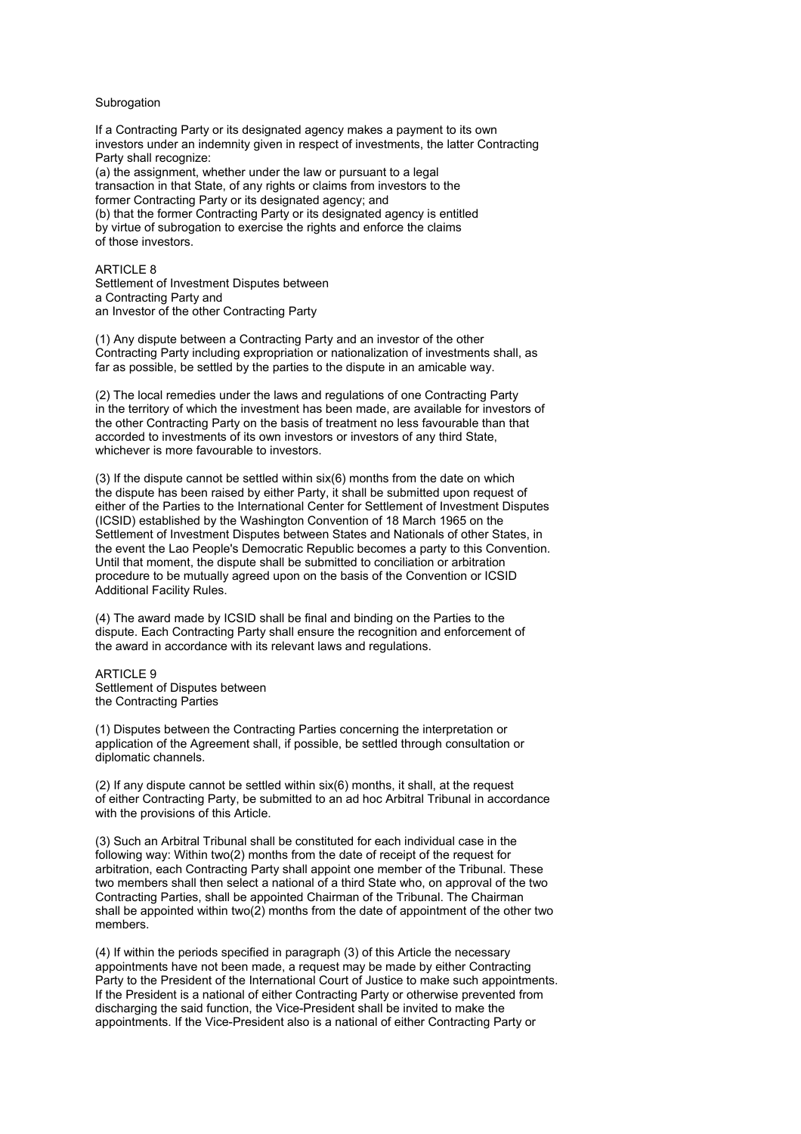## Subrogation

If a Contracting Party or its designated agency makes a payment to its own investors under an indemnity given in respect of investments, the latter Contracting Party shall recognize: (a) the assignment, whether under the law or pursuant to a legal transaction in that State, of any rights or claims from investors to the former Contracting Party or its designated agency; and (b) that the former Contracting Party or its designated agency is entitled by virtue of subrogation to exercise the rights and enforce the claims of those investors.

#### ARTICLE 8

Settlement of Investment Disputes between a Contracting Party and an Investor of the other Contracting Party

(1) Any dispute between a Contracting Party and an investor of the other Contracting Party including expropriation or nationalization of investments shall, as far as possible, be settled by the parties to the dispute in an amicable way.

(2) The local remedies under the laws and regulations of one Contracting Party in the territory of which the investment has been made, are available for investors of the other Contracting Party on the basis of treatment no less favourable than that accorded to investments of its own investors or investors of any third State, whichever is more favourable to investors.

(3) If the dispute cannot be settled within six(6) months from the date on which the dispute has been raised by either Party, it shall be submitted upon request of either of the Parties to the International Center for Settlement of Investment Disputes (ICSID) established by the Washington Convention of 18 March 1965 on the Settlement of Investment Disputes between States and Nationals of other States, in the event the Lao People's Democratic Republic becomes a party to this Convention. Until that moment, the dispute shall be submitted to conciliation or arbitration procedure to be mutually agreed upon on the basis of the Convention or ICSID Additional Facility Rules.

(4) The award made by ICSID shall be final and binding on the Parties to the dispute. Each Contracting Party shall ensure the recognition and enforcement of the award in accordance with its relevant laws and regulations.

**ARTICLE 9** Settlement of Disputes between the Contracting Parties

(1) Disputes between the Contracting Parties concerning the interpretation or application of the Agreement shall, if possible, be settled through consultation or diplomatic channels.

(2) If any dispute cannot be settled within six(6) months, it shall, at the request of either Contracting Party, be submitted to an ad hoc Arbitral Tribunal in accordance with the provisions of this Article.

(3) Such an Arbitral Tribunal shall be constituted for each individual case in the following way: Within two(2) months from the date of receipt of the request for arbitration, each Contracting Party shall appoint one member of the Tribunal. These two members shall then select a national of a third State who, on approval of the two Contracting Parties, shall be appointed Chairman of the Tribunal. The Chairman shall be appointed within two(2) months from the date of appointment of the other two members.

(4) If within the periods specified in paragraph (3) of this Article the necessary appointments have not been made, a request may be made by either Contracting Party to the President of the International Court of Justice to make such appointments. If the President is a national of either Contracting Party or otherwise prevented from discharging the said function, the Vice-President shall be invited to make the appointments. If the Vice-President also is a national of either Contracting Party or